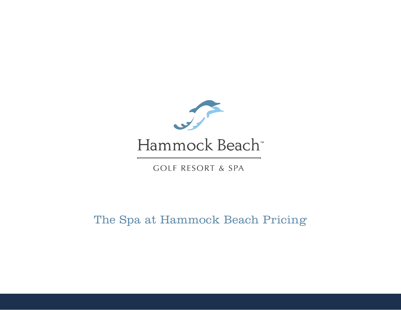

# Hammock Beach<sup>\*</sup>

**GOLF RESORT & SPA** 

The Spa at Hammock Beach Pricing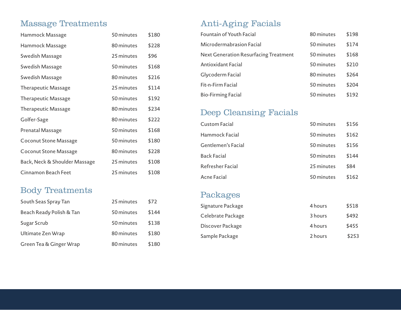# Massage Treatments

| Hammock Massage               | 50 minutes | \$180 |
|-------------------------------|------------|-------|
| Hammock Massage               | 80 minutes | \$228 |
| Swedish Massage               | 25 minutes | \$96  |
| Swedish Massage               | 50 minutes | \$168 |
| <b>Swedish Massage</b>        | 80 minutes | \$216 |
| <b>Therapeutic Massage</b>    | 25 minutes | \$114 |
| <b>Therapeutic Massage</b>    | 50 minutes | \$192 |
| <b>Therapeutic Massage</b>    | 80 minutes | \$234 |
| Golfer-Sage                   | 80 minutes | \$222 |
| <b>Prenatal Massage</b>       | 50 minutes | \$168 |
| <b>Coconut Stone Massage</b>  | 50 minutes | \$180 |
| <b>Coconut Stone Massage</b>  | 80 minutes | \$228 |
| Back, Neck & Shoulder Massage | 25 minutes | \$108 |
| <b>Cinnamon Beach Feet</b>    | 25 minutes | \$108 |

## Body Treatments

| South Seas Spray Tan     | 25 minutes | \$72  |
|--------------------------|------------|-------|
| Beach Ready Polish & Tan | 50 minutes | \$144 |
| Sugar Scrub              | 50 minutes | \$138 |
| Ultimate Zen Wrap        | 80 minutes | \$180 |
| Green Tea & Ginger Wrap  | 80 minutes | \$180 |

# Anti-Aging Facials

| <b>Fountain of Youth Facial</b>              | 80 minutes | \$198 |
|----------------------------------------------|------------|-------|
| Microdermabrasion Facial                     | 50 minutes | \$174 |
| <b>Next Generation Resurfacing Treatment</b> | 50 minutes | \$168 |
| Antioxidant Facial                           | 50 minutes | \$210 |
| Glycoderm Facial                             | 80 minutes | \$264 |
| Fit-n-Firm Facial                            | 50 minutes | \$204 |
| <b>Bio-Firming Facial</b>                    | 50 minutes | \$192 |

## Deep Cleansing Facials

| Custom Facial             | 50 minutes | \$156 |
|---------------------------|------------|-------|
| Hammock Facial            | 50 minutes | \$162 |
| <b>Gentlemen's Facial</b> | 50 minutes | \$156 |
| <b>Back Facial</b>        | 50 minutes | \$144 |
| <b>Refresher Facial</b>   | 25 minutes | \$84  |
| Acne Facial               | 50 minutes | \$162 |

#### Packages

| Signature Package | 4 hours | \$518 |
|-------------------|---------|-------|
| Celebrate Package | 3 hours | \$492 |
| Discover Package  | 4 hours | \$455 |
| Sample Package    | 2 hours | \$253 |